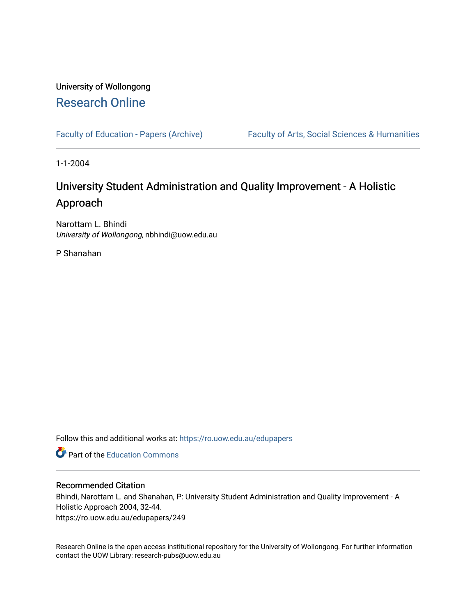# University of Wollongong [Research Online](https://ro.uow.edu.au/)

[Faculty of Education - Papers \(Archive\)](https://ro.uow.edu.au/edupapers) Faculty of Arts, Social Sciences & Humanities

1-1-2004

# University Student Administration and Quality Improvement - A Holistic Approach

Narottam L. Bhindi University of Wollongong, nbhindi@uow.edu.au

P Shanahan

Follow this and additional works at: [https://ro.uow.edu.au/edupapers](https://ro.uow.edu.au/edupapers?utm_source=ro.uow.edu.au%2Fedupapers%2F249&utm_medium=PDF&utm_campaign=PDFCoverPages) 

**C** Part of the [Education Commons](http://network.bepress.com/hgg/discipline/784?utm_source=ro.uow.edu.au%2Fedupapers%2F249&utm_medium=PDF&utm_campaign=PDFCoverPages)

#### Recommended Citation

Bhindi, Narottam L. and Shanahan, P: University Student Administration and Quality Improvement - A Holistic Approach 2004, 32-44. https://ro.uow.edu.au/edupapers/249

Research Online is the open access institutional repository for the University of Wollongong. For further information contact the UOW Library: research-pubs@uow.edu.au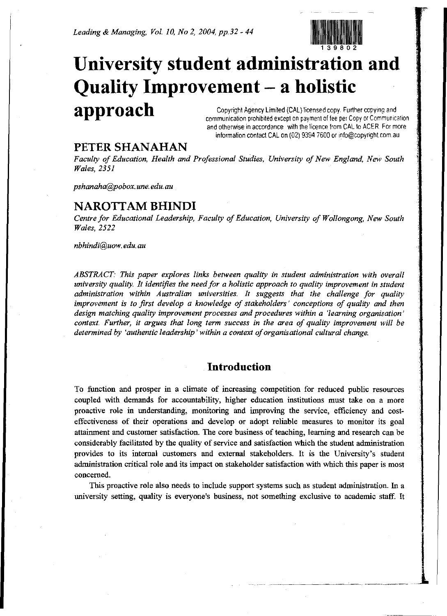*Leading* & *Managing, Vol. 10, No* 2, *2004, pp.32* - 44



# Copyrighl Agency Limited (CAL) licensed copy. Further copying and **University student administration and Quality Improvement - a holistic approach**

communication prohibited except on payment of fee per Copy or Communication and otherwise in accordance with the licence from CAL to ACER. For more information contact CAL on (02) 9394 7600 or info@copyright.com.au

## **PETER SHANAHAN**

*Faculty* of *Education, Health and Professional Studies, University of New England, New South Wales,* 2351

*pshanaha@pobox.une.edu.au*

## **NAROTTAM BHINDI**

*Centre for Educational Leadership, Faculty ofEducation, University of Wollongong, New South Wales,* 2522

*nbhindi@uow.edu.au*

*ABSTRACT: This paper explores links between quality in student administration with overall university quality. It identifies the need for a holistic approach to quality improvement in student administration within Australian universities. It suggests that the challenge for quality improvement is to first develop a knowledge of stakeholders' conceptions of quality and then design matching quality improvement processes and procedures within a 'learning organisation' context. Further, it argues that long term success in the area of quality improvement will be determined by 'authentic leadership' within a context oforganisational cultural change.*

## **Introduction**

To function and prosper in a climate of increasing competition for reduced public resources coupled with demands for accountability, higher education institutions must take on a more proactive role in understanding, monitoring and improving the service, efficiency and costeffectiveness of their operations and develop or adopt reliable measures to monitor its goal attainment and customer satisfaction. The core business ofteaching, learning and research can be considerably facilitated by the quality of service and satisfaction which the student administration provides to its internal customers and external stakeholders. It is the University's student administration critical role and its impact on stakeholder satisfaction with which this paper is most concerned.

This proactive role also needs to include support systems such as student administration. In a university setting, quality is everyone's business, not something exclusive to academic staff. It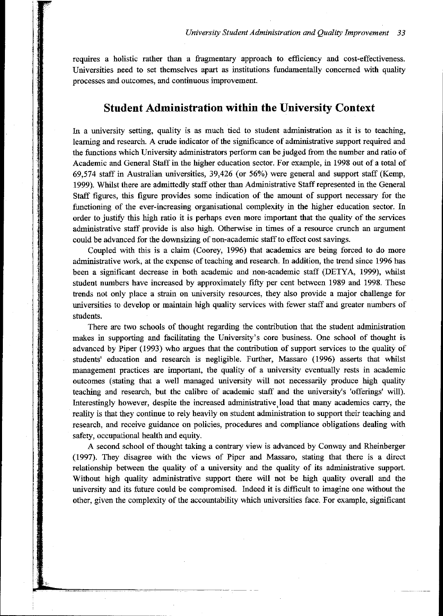requires a holistic rather than a fragmentary approach to efficiency and cost-effectiveness. Universities need to set themselves apart as institutions fundamentally concerned with quality processes and outcomes, and continuous improvement.

## **Student Administration within the University Context**

In a university setting, quality is as much tied to student administration as it is to teaching, learning and research. A crude indicator of the significance of administrative support required and the functions which University administrators perform can be judged from the number and ratio of Academic and General Staff in the higher education sector. For example, in 1998 out of a total of 69,574 staff in Australian universities, 39,426 (or 56%) were general and support staff (Kemp, 1999). Whilst there are admittedly staff other than Administrative Staff represented in the General Staff figures, this figure provides some indication of the amount of support necessary for the functioning of the ever-increasing organisational complexity in the higher education sector. In order to justify this high ratio it is perhaps even more important that the quality of the services administrative staff provide is also high. Otherwise in times of a resource crunch an argument could be advanced for the downsizing of non-academic staffto effect cost savings.

Coupled with this is a claim (Coorey, 1996) that academics are being forced to do more administrative work, at the expense of teaching and research. In addition, the trend since 1996 has been a significant decrease in both academic and non-academic staff (DETYA, 1999), whilst student numbers have increased by approximately fifty per cent between 1989 and 1998. These trends not only place a strain on university resources, they also provide a major challenge for universities to develop or maintain high quality services with fewer staff and greater numbers of students.

**. Shining market** i **INSTRU** 

> There are two schools of thought regarding the contribution that the student administration makes in supporting and facilitating the University's core business. One school of thought is advanced by Piper (1993) who argues that the contribution of support services to the quality of students' education and research is negligible. Further, Massaro (1996) asserts that whilst management practices are important, the quality of a university eventually rests in academic outcomes (stating that a well managed university will not necessarily produce high quality teaching and research, but the calibre of academic staff and the university's 'offerings' will). Interestingly however, despite the increased administrative, load that many academics carry, the reality is that they continue to rely heavily on student administration to support their teaching and research, and receive guidance on policies, procedures and compliance obligations dealing with safety, occupational health and equity.

> A second school of thought taking a contrary view is advanced by Conway and Rheinberger (1997). They disagree with the views of Piper and Massaro, stating that there is a direct relationship between the quality of a university and the quality of its administrative support. Without high quality administrative support there will not be high quality overall and the university and its future could be compromised. Indeed it is difficult to imagine one without the other, given the complexity of the accountability which universities face. For example, significant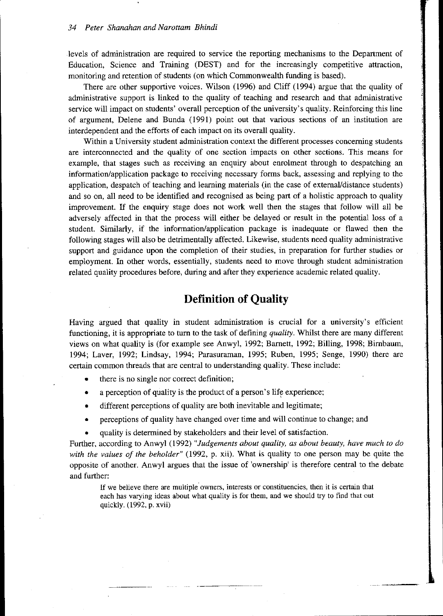levels of administration are required to service the reporting mechanisms to the Department of Education, Science and Training (DEST) and for the increasingly competitive attraction, monitoring and retention of students (on which Commonwealth funding is based).

There are other supportive voices. Wilson (1996) and Cliff (1994) argue that the quality of administrative support is linked to the quality of teaching and research and that administrative service will impact on students' overall perception of the university's quality. Reinforcing this line of argument, Delene and Bunda (1991) point out that various sections of an institution are interdependent and the efforts of each impact on its overall quality.

Within a University student administration context the different processes concerning students are interconnected and the quality of one section impacts on other sections. This means for example, that stages such as receiving an enquiry about enrolment through to despatching an information/application package to receiving necessary forms back, assessing and replying to the application, despatch of teaching and learning materials (in the case of external/distance students) and so on, all need to be identified and recognised as being part of a holistic approach to quality improvement. If the enquiry stage does not work well then the stages that follow will all be adversely affected in that the process will either be delayed or result in the potential loss of a student. Similarly, if the information/application package is inadequate or flawed then the following stages will also be detrimentally affected. Likewise, students need quality administrative support and guidance upon the completion of their studies, in preparation for further studies or employment. In other words, essentially, students need to move through student administration related quality procedures before, during and after they experience academic related quality.

## **Definition of Quality**

Having argued that quality in student administration is crucial for a university's efficient functioning, it is appropriate to turn to the task of defining *quality.* Whilst there are many different views on what quality is (for example see Anwyl, 1992; Barnett, 1992; Billing, 1998; Birnbaum, 1994; Laver, 1992; Lindsay, 1994; Parasuraman, 1995; Ruben, 1995; Senge, 1990) there are certain common threads that are central to understanding quality. These include:

- there is no single nor correct definition;
- a perception of quality is the product of a person's life experience;
- different perceptions of quality are both inevitable and legitimate;
- perceptions of quality have changed over time and will continue to change; and
- quality is determined by stakeholders and their level of satisfaction.

Further, according to Anwyl (1992) *"Judgements about quality, as about beauty, have much to do with the values of the beholder"* (1992, p. xii). What is quality to one person may be quite the opposite of another. Anwyl argues that the issue of 'ownership' is therefore central to the debate and further:

If we believe there are multiple owners, interests or constituencies, then it is certain that each has varying ideas about what quality is for them, and we should try to find that out quickly. (1992, p. xvii)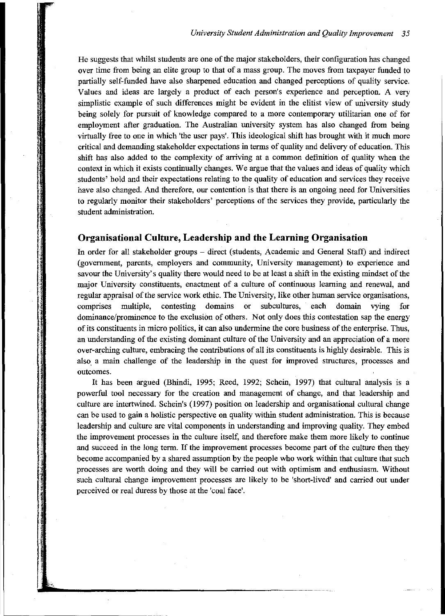He suggests that whilst students are one of the major stakeholders, their configuration has changed over time from being an elite group to that of a mass group. The moves from taxpayer funded to partially self-funded have also sharpened education and changed perceptions of quality service. Values and ideas are largely a product of each person's experience and perception. A very simplistic example of such differences might be evident in the elitist view of university study being solely for pursuit of knowledge compared to a more contemporary utilitarian one of for employment after graduation. The Australian university system has also changed from being virtually free to one in which 'the user pays'. This ideological shift has brought with it much more critical and demanding stakeholder expectations in terms of quality and delivery of education. This shift has also added to the complexity of arriving at a common definition of quality when the context in which it exists continually changes. We argue that the values and ideas of quality which students' hold and their expectations relating to the quality of education and services they receive have also changed. And therefore, our contention is that there is an ongoing need for Universities to regularly monitor their stakeholders' perceptions of the services they provide, particularly the student administration.

#### **Organisational Culture, Leadership and the Learning Organisation**

In order for all stakeholder groups - direct (students, Academic and General Staff) and indirect (government, parents, employers and community, University management) to experience and sayour the University's quality there would need to be at least a shift in the existing mindset of the major University constituents, enactment of a culture of continuous learning and renewal, and regular appraisal of the service work ethic. The University, like other human service organisations, comprises multiple, contesting domains or subcultures, each domain vying dominance/prominence to the exclusion of others. Not only does this contestation sap the energy ofits constituents in micro politics, it can also undermine the core business ofthe enterprise. Thus, an understanding of the existing dominant culture of the University and an appreciation of a more over-arching culture, embracing the contributions of all its constituents is highly desirable. This is also. a main challenge of the leadership in the quest for improved structures, processes and outcomes.

It has been argued (Bhindi, 1995; Reed, 1992; Schein, 1997) that cultural analysis is a powerful tool necessary for the creation and management of change, and that leadership and culture are intertwined. Schein's (1997) position on leadership and organisational cultural change can be used to gain a holistic perspective on quality within student administration. This is because leadership and culture are vital components in understanding and improving quality. They embed the improvement processes in the culture itself, and therefore make them more likely to continue and succeed in the long term. If the improvement processes become part of the culture then they become accompanied by a shared assumption by the people who work within that culture that such processes are worth doing and they will be carried out with optimism and enthusiasm. Without such cultural change improvement processes are likely to be 'short-lived' and carried out under perceived or real duress by those at the 'coal face'.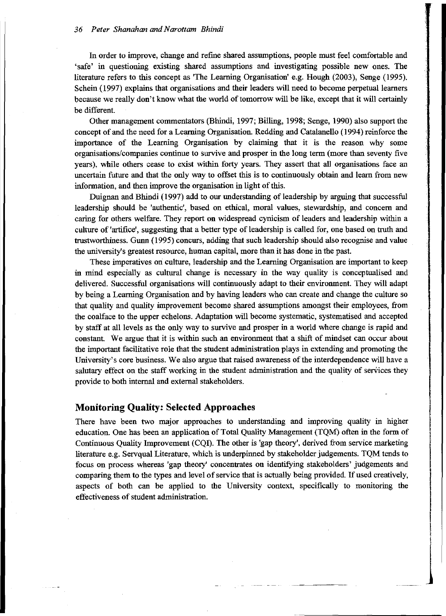In order to improve, change and refine shared assumptions, people must feel comfortable and 'safe' in questioning existing shared assumptions and investigating possible new ones. The literature refers to this concept as 'The Learning Organisation' e.g. Hough (2003), Senge (1995). Schein (1997) explains that organisations and their leaders will need to become perpetual learners because we really don't know what the world of tomorrow will be like, except that it will certainly be different.

Other management commentators (Bhindi, 1997; Billing, 1998; Senge, 1990) also support the concept of and the need for a Learning Organisation. Redding and Catalanello (1994) reinforce the importance of the Learning Organisation by claiming that it is the reason why some organisations/companies continue to survive and prosper in the long term (more than seventy five years), while others cease to exist within forty years. They assert that all organisations face an uncertain future and that the only way to offset this is to continuously obtain and learn from new information, and then improve the organisation in light of this.

Duignan and Bhindi (1997) add to our understanding of leadership by arguing that successful leadership should be 'authentic', based on ethical, moral values, stewardship, and concem and caring for others welfare. They report on widespread cynicism of leaders and leadership within a culture of 'artifice', suggesting that a better type of leadership is called for, one based on truth and trustworthiness. Gunn (1995) concurs, adding that such leadership should also recognise and value the university's greatest resource, human capital, more than it has done in the past.

These imperatives on culture, leadership and the Learning Organisation are important to keep in mind especially as cultural change is necessary in the way quality is conceptualised and delivered. Successful organisations will continuously adapt to their environment. They will adapt by being a Learning Organisation and by having leaders who can create and change the culture so that quality and quality improvement become shared assumptions amongst their employees, from the coalface to the upper echelons. Adaptation will become systematic, systematised and accepted by staff at all levels as the only way to survive and prosper in a world where change is rapid and constant. We argue that it is within such an environment that a shift of mindset can occur about the important facilitative role that the student administration plays in extending and promoting the University's core business. We also argue that raised awareness of the interdependence will have a salutary effect on the staff working in the student administration and the quality of services they provide to both internal and external stakeholders.

#### **Monitoring Quality: Selected Approaches**

There have been two major approaches to understanding and improving quality in higher education. One has been an application of Total Quality Management (TQM) often in the form of Continuous Quality Improvement (CQI). The other is 'gap theory', derived from service marketing literature e.g. Servqual Literature, which is underpinned by stakeholder judgements. TQM tends to focus on process whereas 'gap theory' concentrates on identifying stakeholders' judgements and comparing them to the types and level of service that is actually being provided. If used creatively, aspects of both can be applied to the University context, specifically to monitoring the effectiveness of student administration.

.<br>Particularum commune

1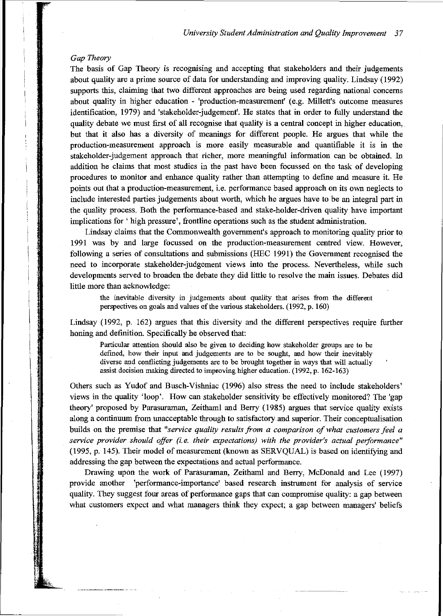#### *Gap Theory*

The basis of Gap Theory is recognising and accepting that stakeholders and their judgements about quality are a prime source of data for understanding and improving quality. Lindsay (1992) supports this, claiming that two different approaches are being used regarding national concerns about quality in higher education - 'production-measurement' (e.g. Millett's outcome measures identification, 1979) and 'stakeholder-judgement'. He states that in order to fully understand the quality debate we must first of all recognise that quality is a central concept in higher education, but that it also has a diversity of meanings for different people. He argues that while the production-measurement approach is more easily measurable and quantifiable it is in the stakeholder-judgement approach that richer, more meaningful information can be obtained. In addition he claims that most studies in the past have been focussed on the task of developing procedures to monitor and enhance quality rather than attempting to define and measure it. He points out that a production-measurement, i.e. performance based approach on its own neglects to include interested parties judgements about worth, which he argues have to be an integral part in the quality process. Both the performance-based and stake-holder-driven quality have important implications for' high pressure', frontline operations such as the student administration.

Lindsay claims that the Commonwealth government's approach to monitoring quality prior to 1991 was by and large focussed on the production-measurement centred view. However, following a series of consultations and submissions (HEC 1991) the Government recognised the need to incorporate stakeholder-judgement views into the process. Nevertheless, while such developments served to broaden the debate they did little to resolve the main issues. Debates did little more than acknowledge:

the inevitable diversity in judgements about quality that arises from the different perspectives on goals and values of the various stakeholders. (1992, p. 160)

Lindsay (1992, p. 162) argues that this diversity and the different perspectives require further honing and definition. Specifically he observed that:

Particular attention Should also be given to deciding how stakeholder groups are to be defined, how their input and judgements are to be sought, and how their inevitably diverse and conflicting judgements are to be brought together in waysthat will actually assist decision making directed to improving higher education.  $(1992, p. 162-163)$ 

Others such as Yudof and Busch-Vishniac (1996) also stress the ueed to include stakeholders' views in the quality 'loop'. How can stakeholder sensitivity be effectively monitored? The 'gap theory' proposed by Parasuraman, Zeithaml and Berry (1985) argues that service quality exists along a continuum from unacceptable through to satisfactory and superior. Their conceptualisation builds on the premise that *"service quality results from a comparison ofwhat customers feel a service provider should offer* (i. e. *their expectations) with the providers actual performance"* (1995, p. 145). Their model of measurement (known as SERVQUAL) is based on identifying and addressing the gap between the expectations and actual performance.

Drawing upon the work of Parasuraman, Zeithaml and Berry, McDonald and Lee (1997) provide another 'performance-importance' based research instrument for aualysis of service quality. They suggest four areas of performance gaps that can compromise quality: a gap between what customers expect and what managers think they expect; a gap between managers' beliefs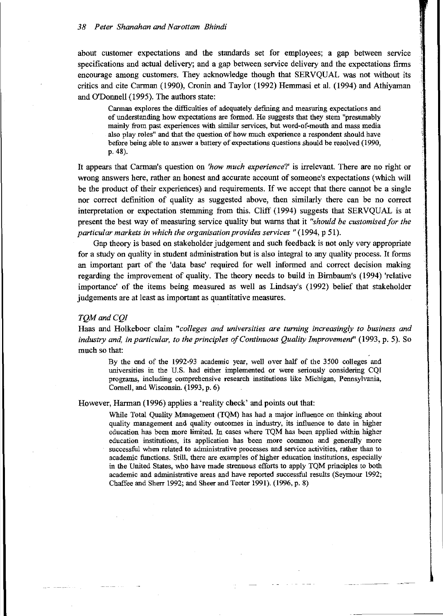#### *38 Peter Shanahan andNarottam Bhindi*

about customer expectations and the standards set for employees; a gap between service specifications and actual delivery; and a gap between service delivery and the expectations firms encourage among customers. They acknowledge though that SERVQUAL was not without its critics and cite Carman (1990), Cronin and Taylor (1992) Hemmasi et al. (1994) and Athiyaman and O'Donnell (1995). The authors state:

Carman explores the difficulties of adequately defining and measuring expectations and of understanding how expectations are formed. He suggests that they stem "presumably mainly from past experiences with similar services, but word-of-mouth and mass media also play roles" and that the question of how much experience a respondent should have before being able to answer a battery of expectations questions should be resolved (1990, p.48).

It appears that Carman's question on *'how much experience?'* is irrelevant. There are no right or wrong answers here, rather an honest and accurate account of someone's expectations (which will be the product of their experiences) and requirements. If we accept that there cannot be a single nor correct definition of quality as suggested above, then similarly there can be no correct interpretation or expectation stemming from this. Cliff (1994) suggests that SERVQUAL is at present the best way of measuring service quality but warns that it *"should be customised for the particular markets in which the organisation provides services"* (1994, p 51).

Gap theory is based on stakeholder judgement and such feedback is not only very appropriate for a study on quality in student administration but is also integral to any quality process. It forms an important part of the 'data base' required for well informed and correct decision making regarding the improvement of quality. The theory needs to build in Birnbaum's (1994) 'relative importance' of the items being measured as well as Lindsay's (1992) belief that stakeholder judgements are at least as important as quantitative measures.

#### *TQM and CQI*

Haas and Holkeboer claim *"colleges and universities are turning increasingly to business and industry and, in particular, to the principles ofContinuous Quality Improvement"* (1993, p. 5). So much so that:

By the end of the 1992-93 academic year, well over half of the 3500 colleges and universities in the US. had either implemented or were seriously considering cQr programs, including comprehensive research institutions like Michigan, Pennsylvania, Cornell, and Wisconsin. (1993, p. 6)

However, Harman (1996) applies a 'reality check' and points out that:

While Total Quality Management (TQM) has had a major influence on thinking about quality management and quality outcomes in industry, its influence to date in higher education has been more limited. In cases where TQM has been applied within higher education institutions, its application has been more common and generally more successful when related to administrative processes and service activities, rather than to academic functions. Still, there are examples of higher education institutions, especially in the United States, who have made strenuous efforts to apply TQM principles to both academic and administrative areas and have reported successful results (Seymour 1992; Chaffee and Sherr 1992; and Sheer and Teeter 1991). (1996, p. 8)

**International** 

I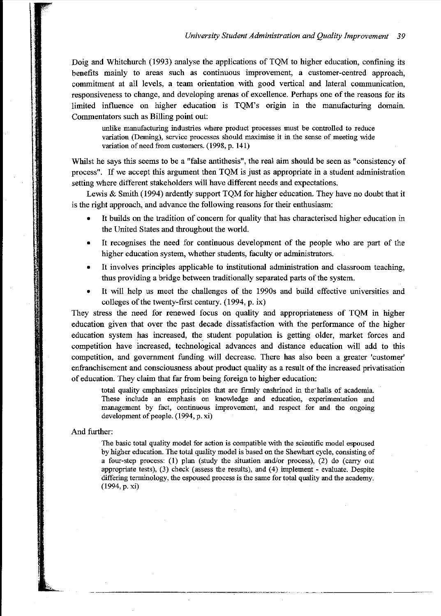Doig and Whitchurch (1993) analyse the applications of TQM to higher education, confining its benefits mainly to areas such as continuous improvement, a customer-centred approach, commitment at all levels, a team orientation with good vertical and lateral communication, responsiveness to change, and developing arenas of excellence. Perhaps one ofthe reasons for its limited influence on higher education is TQM's origin in the manufacturing domain. Commentators such as Billing point out:

unlike manufacturing industries where product processes must be controlled to reduce variation (Deming), service processes should maximise it in the sense of meeting wide variation of need from customers. (1998, p. 141)

Whilst he says this seems to be a "false antithesis", the real aim should be seen as "consistency of process". If we accept this argument then TQM is just as appropriate in a student administration setting where different stakeholders will have different needs and expectations.

Lewis & Smith (1994) ardently support TQM for higher education. They have no doubt that it is the right approach, and advance the following reasons for their enthusiasm:

- It builds on the tradition of concern for quality that has characterised higher education in the United States and throughout the world.
- It recognises the need for continuous development of the people who are part of the higher education system, whether students, faculty or administrators.
- It involves principles applicable to institutional administration and classroom teaching, thus providing a bridge between traditionally separated parts of the system.
- It will help us meet the challenges of the 1990s and build effective universities and colleges of the twenty-first century.  $(1994, p. ix)$

They stress the need for renewed focus on quality and appropriateness of TQM in higher education given that over the past decade dissatisfaction with the performance of the higher education system has increased, the student population is getting older, market forces and competition have increased, technological advances and distance education will add to this competition, and govermnent funding will decrease. There has also been a greater 'customer' enfranchisement and consciousness about product quality as a result of the increased privatisation of education. They claim that far from being foreign to higher education:

total quality emphasizes principles that are firmly eoshrined in the' halls of academia. These include an emphasis on knowledge and education, experimentation and management by fact, continuous improvement, and respect for and the ongoing development of people. (1994, p. xi)

#### And further:

The basic total quality model for action is compatible with the scientific model espoused by higher education. The total quality model is based on the Shewhart cycle, consisting of a four-step process: (1) plan (study the situation and/or process), (2) do (carry out appropriate tests),  $(3)$  check (assess the results), and  $(4)$  implement - evaluate. Despite differing terminology, the espoused process is the same for total quality and the academy. (1994,p. xi)

.. \_\_ .\_------~--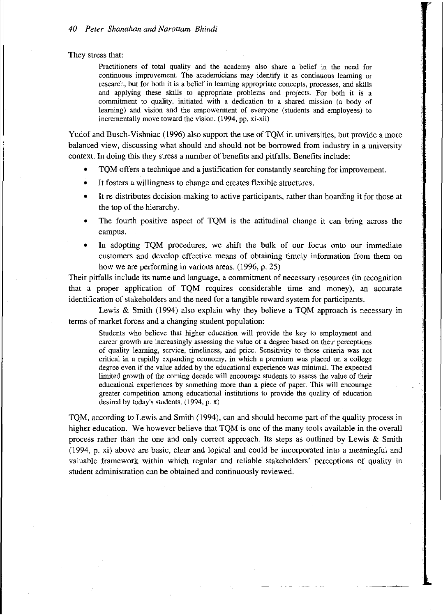They stress that:

Practitioners of total quality and the academy also share a belief in the need for **continuous improvement. The academicians may identify it as continuous learning or** research, but for both it is a belief in learning appropriate concepts, processes, and skills and applying these skills to appropriate problems and projects. For both it is a commitment to quality, initiated with a dedication to a shared mission (a body of learning) and vision and the empowerment of everyone (students and employees) to incrementally move toward the vision.  $(1994, pp. xi-xii)$ 

Yudof and Busch-Vishniac (1996) also support the use of TQM in universities, but provide a more balanced view, discussing what should and should not be borrowed from industry in a university context. In doing this they stress a number of benefits and pitfalls. Benefits include:

- TQM offers a technique and a justification for constantly searching for improvement.
- It fosters a willingness to change and creates flexible structures.
- It re-distributes decision-making to active participants, rather than hoarding it for those at the top of the hierarchy.
- The fourth positive aspect of TQM is the attitudinal change it can bring across the campus.
- In adopting TQM procedures, we shift the bulk of our focus onto our immediate customers and develop effective means of obtaining timely information from them on how we are performing in various areas. (1996, p. 25)

Their pitfalls include its name and language, a commitment of necessary resources (in recognition that a proper application of TQM requires considerable time and money), an accurate identification of stakeholders and the need for a tangible reward system for participants.

Lewis & Smith (1994) also explain why they believe a TQM approach is necessary in terms of market forces and a changing student population:

Students who believe that higher education will provide the key to employment and **career growth are increasingly assessing the value of a degree based on their perceptions** of quality learning, service, timeliness, and price. Sensitivity to these criteria was not critical in a rapidly expanding economy, in which a premium was placed on a college degree even if the value added by the educational experience was minimal. The expected limited growth of the coming decade will encourage students to assess the value of their educational experiences by something more than a piece of paper. This will encourage greater competition among educational institutions to provide the quality of education desired by today's students. (1994, p. x)

TQM, according to Lewis and Smith (1994), can and should become part of the quality process in higher education. We however believe that TQM is one of the many tools available in the overall process rather than the one and only correct approach. Its steps as outlined by Lewis  $\&$  Smith (1994, p. xi) above are basic, clear and logical and could be incorporated into a meaningful and valuable framework within which regular and reliable stakeholders' perceptions of quality in student administration can be obtained and continuously reviewed.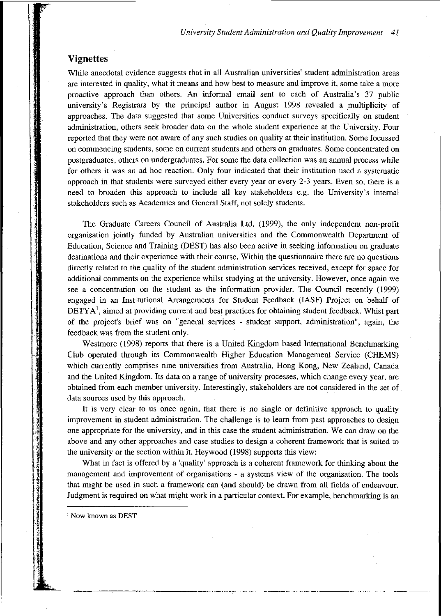### **Vignettes**

While anecdotal evidence suggests that in all Australian universities' student administration areas are interested in quality, what it means and how best to measure and improve it, some take a more proactive approach than others. An informal email sent to each of Australia's 37 public university's Registrars by the principal author in August 1998 revealed a multiplicity of approaches. The data suggested that some Universities conduct surveys specifically on student administration, others seek broader data on the whole student experience at the University. Four reported that they were not aware of any such studies on quality at their institution. Some focussed on commencing students, some on current students and others on graduates. Some concentrated on postgraduates, others on undergraduates. For some the data collection was an annual process while for others it was an ad hoc reaction. Only four indicated that their institution used a systematic approach in that students were surveyed either every year or every 2-3 years. Even so, there is a need to broaden this approach to include all key stakeholders e.g. the University's internal stakeholders such as Academics and General Staff, not solely students.

The Graduate Careers Council of Australia Ltd. (1999), the only independent non-profit organisation jointly funded by Australian universities and the Commonwealth Department of Education, Science and Training (DEST) has also been active in seeking information on graduate destinations and their experience with their course. Within the questionnaire there are no questions directly related to the quality of the student administration services received, except for space for additional comments on the experience whilst studying at the university. However, once again we see a concentration on the student as the information provider. The Council recently (1999) engaged in an Institutional Arrangements for Student Feedback (IASF) Project on behalf of **, aimed at providing current and best practices for obtaining student feedback. Whist part** of the project's brief was on "general services - student support, administration", again, the feedback was from the student only.

Westmore (1998) reports that there is a United Kingdom based International Benchmarking Club operated through its Commonwealth Higher Education Management Service (CHEMS) which currently comprises nine universities from Australia, Hong Kong, New Zealand, Canada and the United Kingdom. Its data on a range of university processes, which change every year, are obtained from each member university. Interestingly, stakeholders are not considered in the set of data sources used by this approach.

It is very clear to us once again, that there is no single or definitive approach to quality improvement in student administration. The challenge is to learn from past approaches to design one appropriate for the university, and in this case the student administration. We can draw on the above and any other approaches and case studies to design a coherent framework that is suited to the university or the section within it. Heywood (1998) supports this view:

What in fact is offered by a 'quality' approach is a coherent framework for thinking about the management and improvement of organisations - a systems view of the organisation. The tools that might be used in such a framework can (and should) be drawn from all fields of endeavour. Judgment is required on what might work in a particular context. For example, benchmarking is an

<sup>1</sup> Now known as DEST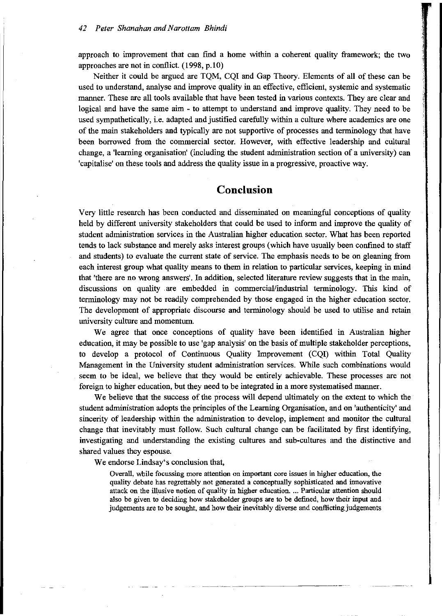approach to improvement that can find a home within a coherent quality framework; the two approaches are not in conflict. (1998, p.10)

Neither it could be argued are TQM, CQI and Gap Theory. Elements of all of these can be used to understand, analyse and improve quality in an effective, efficient, systemic and systematic manner. These are all tools available that have been tested in various contexts. They are clear and logical and have the same aim - to attempt to understand and improve quality. They need to be used sympathetically, i.e. adapted and justified carefully within a culture where academics are one of the main stakeholders and typically are not supportive of processes and terminology that have been borrowed from the commercial sector. However, with effective leadership and cultural change, a 'learning organisation' (including the student administration section of a university) can 'capitalise' on these tools and address the quality issue in a progressive, proactive way.

## **Conclusion**

Very little research has been conducted and disseminated on meaningful conceptions of quality held by different university stakeholders that could be used to inform and improve the quality of student administration services in the Australian higher education sector. What has been reported tends to lack substance and merely asks interest groups (which have usually been confined to staff and students) to evaluate the current state of service. The emphasis needs to be on gleaning from each interest group what quality means to them in relation to particular services, keeping in mind that 'there are no wrong answers'. In addition, selected literature review suggests that in the main, discussions on quality are embedded in commercial/industrial terminology. This kind of terminology may not be readily comprehended by those engaged in the higher education sector. The development of appropriate discourse and terminology should be used to utilise and retain university culture and momentum.

We agree that once conceptions of quality have been identified in Australian higher education, it may be possible to use 'gap analysis' on the basis of multiple stakeholder perceptions, to develop a protocol of Continuous Quality Improvement (CQI) within Total Quality Management in the University student administration services. While such combinations would seem to be ideal, we believe that they would be entirely achievable. These processes are not foreign to higher education, but they need to be integrated in a more systematised manner.

We believe that the success of the process will depend ultimately on the extent to which the student administration adopts the principles of the Learning Organisation, and on 'authenticity' and sincerity of leadership within the administration to develop, implement and monitor the cultural change that inevitably must follow. Such cultural change can be facilitated by first identifying, investigating and understanding the existing cultures and sub-cultures and the distinctive and shared values they espouse.

We endorse Lindsay's conclusion that,

Overall, while focussing more attention ou important core issues in higher education, the quality debate has regrettably not generated a conceptually sophisticated and inoovative attack on the illusive notion of quality in higher education.... Particular attention should also be given to deciding how stakeholder groups are to be defined, how their input and judgements are to be sought, and how their inevitably diverse and conflicting judgements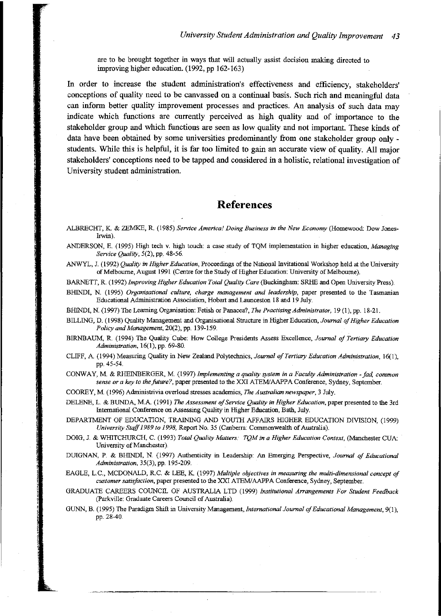are to be brought together in ways that will actually assist decisiou making directed to improving higher education. (1992, pp 162-163)

In order to increase the student administration's effectiveness and efficiency, stakeholders' conceptions of quality need to be canvassed on a continual basis. Such rich and meaningful data can inform better quality improvement processes and practices. An analysis of such data may indicate which functions are currently perceived as high quality and of importance to the stakeholder group and which functions are seen as low quality and not important. These kinds of data have been obtained by some universities predominantly from one stakeholder group only students. While this is helpful, it is far too limited to gain an accurate view of quality. All major stakeholders' conceptions need to be tapped and considered in a holistic, relational investigation of University student administration.

## **References**

**ALBRECHT, K & ZEMKE, R. (1985)** *Service America! Doing Business in the New Economy* **(Homewood: Dow Jones-**Irwin).

ANDERSON, E. (1995) High tech v. high touch: a case study of TQM implementation in higher education, *Managing Service Quality,* 5(2), pp. 48-56.

ANWYL, J. (1992) *Quality in Higher Education,* Proceedings of the National Invitational Workshop held at the University of Melbourne, August 1991 (Centre for the Study of Higher Education: University of Melbourne).

BARNETT, R. (1992) *Improving Higher Education Total Quality Care* (Buckingham: SRHE and Open University Press).

**BHINDI, N. (1995)** *Organisational culture. charge management and leadership,* **paper presented to the Tasmanian** Educational Administration Association, Hobart and Launceston 18 and 19 July.

BHINDI, N. (1997) Tbe Learning Organisation: Fetish or Panacea?, The *Practising Administrator,* 19 (I), pp. 18-21.

BILLING, D. (1998) Quality Management and Organisational Structure in Higher Education, *Journal of Higher Education Policy andManagement,* 20(2), pp. 139-159.

BIRNBAUM, R. (1994) Tbe Qnality Cube: How College Presidents Assess Excellence, *Journal ofTertiary Education Administration,* 16(1), pp. 69-80.

CLIFF, A (1994) Measuring Quality in New Zealand Polytechnics, *Journal of Tertiary Education Administration, 16(1),* pp. 45-54.

CONWAY, M & RHEINBERGER, M. (1997) *Implementing a quality system* in *a Faculty Administration* - *fad, common sense or a key to the future?*, paper presented to the XXI ATEM/AAPPA Conference, Sydney, September.

COOREY, M (1996) Administrivia overload stresses academics, The *Australian newspaper,* 3 July.

DELENE, L. & BUNDA, M.A. (1991) The *Assessment of Service Quality in Higher Education*, paper presented to the 3rd International Conference on Assessing Quality in Higher Education, Bath, July.

DEPARTMENT OF EDUCATION, TRAINING AND YOUTIl AFFAIRS HIGHER EDUCATION DIVlSlON, (1999) *University Staff* 1989 to 1998, Report No. 35 (Canberra: Commonwealth of Australia).

DOIG, J. & WHITCHURCfI, C. (1993) *Total Quality Matters: TQM in a Higher Education Context,* (Manchester CUA: University of Manchester).

DUIGNAN, P. & BHINDI, N. (1997) Authenticity in Leadership: An Emerging Perspective, *Journal of Educational Administration,* 35(3), pp. 195-209.

EAGLE, L.C., MCDONALD, R.C. & LEE, K (1997) *Multiple objectives* in *measuring the multi-dimensional concept of customer satisfaction,* **paper presented to the XXI ATEMlAAPPA Conference, Sydney, September.**

GRADUATE CAREERS COUNCIL OF AUSTRALIA LTD (1999) *Institutional Arrangements For Student Feedback* (parkville: Graduate Careers Council of Australia).

GUNN, B. (1995) Tbe Paradigm Shift in University Management, *International Journal ofEducational Management, 9(1),* pp. 28-40.